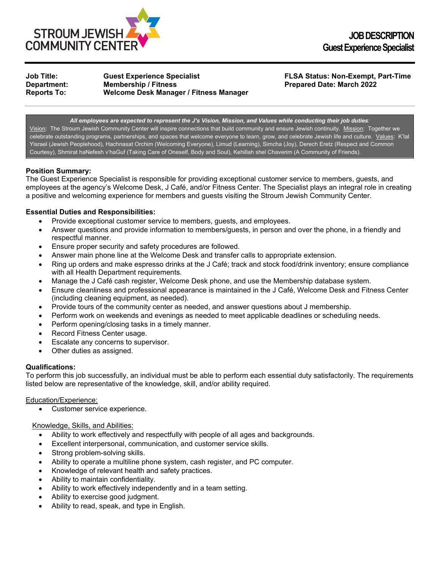

**Job Title: Guest Experience Specialist FLSA Status: Non-Exempt, Part-Time Reports To: Welcome Desk Manager / Fitness Manager**

**Prepared Date: March 2022** 

*All employees are expected to represent the J's Vision, Mission, and Values while conducting their job duties:* Vision: The Stroum Jewish Community Center will inspire connections that build community and ensure Jewish continuity. Mission: Together we celebrate outstanding programs, partnerships, and spaces that welcome everyone to learn, grow, and celebrate Jewish life and culture. Values: K'lal Yisrael (Jewish Peoplehood), Hachnasat Orchim (Welcoming Everyone), Limud (Learning), Simcha (Joy), Derech Eretz (Respect and Common Courtesy), Shmirat haNefesh v'haGuf (Taking Care of Oneself, Body and Soul), Kehillah shel Chaverim (A Community of Friends).

# **Position Summary:**

The Guest Experience Specialist is responsible for providing exceptional customer service to members, guests, and employees at the agency's Welcome Desk, J Café, and/or Fitness Center. The Specialist plays an integral role in creating a positive and welcoming experience for members and guests visiting the Stroum Jewish Community Center.

# **Essential Duties and Responsibilities:**

- Provide exceptional customer service to members, guests, and employees.
- Answer questions and provide information to members/guests, in person and over the phone, in a friendly and respectful manner.
- Ensure proper security and safety procedures are followed.
- Answer main phone line at the Welcome Desk and transfer calls to appropriate extension.
- Ring up orders and make espresso drinks at the J Café; track and stock food/drink inventory; ensure compliance with all Health Department requirements.
- Manage the J Café cash register, Welcome Desk phone, and use the Membership database system.
- Ensure cleanliness and professional appearance is maintained in the J Café, Welcome Desk and Fitness Center (including cleaning equipment, as needed).
- Provide tours of the community center as needed, and answer questions about J membership.
- Perform work on weekends and evenings as needed to meet applicable deadlines or scheduling needs.
- Perform opening/closing tasks in a timely manner.
- Record Fitness Center usage.
- Escalate any concerns to supervisor.
- Other duties as assigned.

### **Qualifications:**

To perform this job successfully, an individual must be able to perform each essential duty satisfactorily. The requirements listed below are representative of the knowledge, skill, and/or ability required.

### Education/Experience:

Customer service experience.

# Knowledge, Skills, and Abilities:

- Ability to work effectively and respectfully with people of all ages and backgrounds.
- Excellent interpersonal, communication, and customer service skills.
- Strong problem-solving skills.
- Ability to operate a multiline phone system, cash register, and PC computer.
- Knowledge of relevant health and safety practices.
- Ability to maintain confidentiality.
- Ability to work effectively independently and in a team setting.
- Ability to exercise good judgment.
- Ability to read, speak, and type in English.